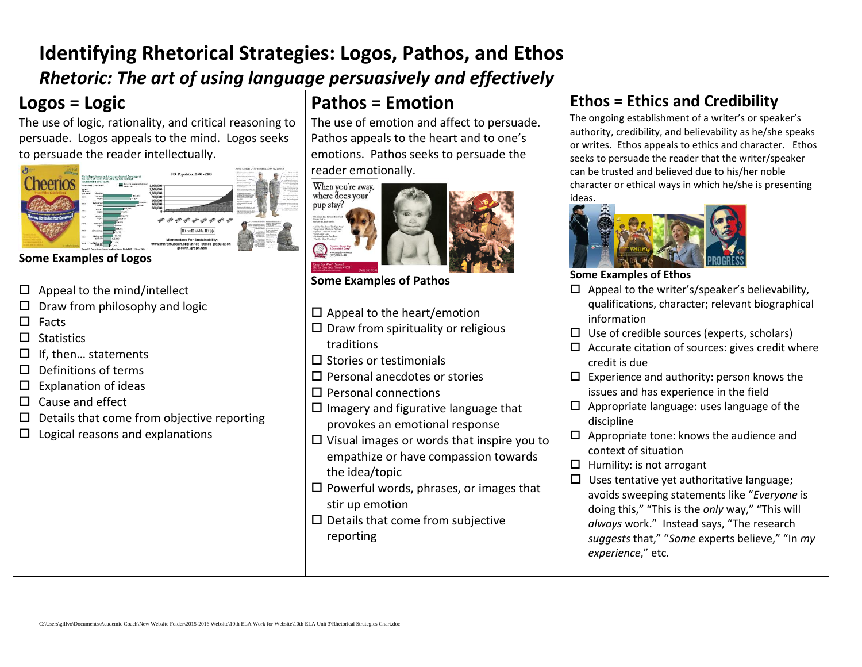## **Identifying Rhetorical Strategies: Logos, Pathos, and Ethos** *Rhetoric: The art of using language persuasively and effectively*

### **Logos = Logic**

The use of logic, rationality, and critical reasoning to persuade. Logos appeals to the mind. Logos seeks to persuade the reader intellectually.



#### **Some Examples of Logos**

- $\Box$  Appeal to the mind/intellect
- $\Box$  Draw from philosophy and logic
- $\Box$  Facts
- $\Box$  Statistics
- $\Box$  If, then... statements
- $\Pi$  Definitions of terms
- $\square$  Explanation of ideas
- $\Box$  Cause and effect
- $\square$  Details that come from objective reporting
- $\Box$  Logical reasons and explanations

## **Pathos = Emotion**

The use of emotion and affect to persuade. Pathos appeals to the heart and to one's emotions. Pathos seeks to persuade the reader emo[tionally.](http://www.pulitzer.org/imported-data/year/1996/spot-news-photography/works/ff-640-med.jpg)





**Some Examples of Pathos**

- $\square$  Appeal to the heart/emotion
- $\square$  Draw from spirituality or religious traditions
- $\square$  Stories or testimonials
- Personal anecdotes or stories
- $\square$  Personal connections
- $\square$  Imagery and figurative language that provokes an emotional response
- $\square$  Visual images or words that inspire you to empathize or have compassion towards the idea/topic
- $\square$  Powerful words, phrases, or images that stir up emotion
- $\square$  Details that come from subjective reporting

### **Ethos = Ethics and Credibility**

The ongoing establishment of a writer's or speaker's authority, credibility, and believability as he/she speaks or writes. Ethos appeals to ethics and character. Ethos seeks to persuade the reader that the writer/speaker can be trusted and believed due to his/her noble character or ethical ways in which he/she is presenting ideas.



#### **Some Examples of Ethos**

- $\Box$  Appeal to the writer's/speaker's believability, qualifications, character; relevant biographical information
- $\Box$  Use of credible sources (experts, scholars)
- $\square$  Accurate citation of sources: gives credit where credit is due
- $\square$  Experience and authority: person knows the issues and has experience in the field
- $\Box$  Appropriate language: uses language of the discipline
- $\Box$  Appropriate tone: knows the audience and context of situation
- $\Box$  Humility: is not arrogant
- $\square$  Uses tentative yet authoritative language; avoids sweeping statements like "*Everyone* is doing this," "This is the *only* way," "This will *always* work." Instead says, "The research *suggests* that," "*Some* experts believe," "In *my experience*," etc.